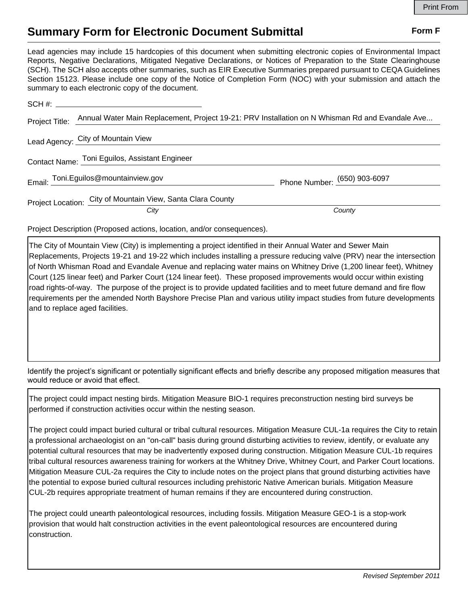## **Summary Form for Electronic Document Submittal Form F Form F**

Lead agencies may include 15 hardcopies of this document when submitting electronic copies of Environmental Impact Reports, Negative Declarations, Mitigated Negative Declarations, or Notices of Preparation to the State Clearinghouse (SCH). The SCH also accepts other summaries, such as EIR Executive Summaries prepared pursuant to CEQA Guidelines Section 15123. Please include one copy of the Notice of Completion Form (NOC) with your submission and attach the summary to each electronic copy of the document.

| Annual Water Main Replacement, Project 19-21: PRV Installation on N Whisman Rd and Evandale Ave |
|-------------------------------------------------------------------------------------------------|
|                                                                                                 |
|                                                                                                 |
| Phone Number: (650) 903-6097                                                                    |
| County                                                                                          |
|                                                                                                 |

Project Description (Proposed actions, location, and/or consequences).

The City of Mountain View (City) is implementing a project identified in their Annual Water and Sewer Main Replacements, Projects 19-21 and 19-22 which includes installing a pressure reducing valve (PRV) near the intersection of North Whisman Road and Evandale Avenue and replacing water mains on Whitney Drive (1,200 linear feet), Whitney Court (125 linear feet) and Parker Court (124 linear feet). These proposed improvements would occur within existing road rights-of-way. The purpose of the project is to provide updated facilities and to meet future demand and fire flow requirements per the amended North Bayshore Precise Plan and various utility impact studies from future developments and to replace aged facilities.

Identify the project's significant or potentially significant effects and briefly describe any proposed mitigation measures that would reduce or avoid that effect.

The project could impact nesting birds. Mitigation Measure BIO-1 requires preconstruction nesting bird surveys be performed if construction activities occur within the nesting season.

The project could impact buried cultural or tribal cultural resources. Mitigation Measure CUL-1a requires the City to retain a professional archaeologist on an "on-call" basis during ground disturbing activities to review, identify, or evaluate any potential cultural resources that may be inadvertently exposed during construction. Mitigation Measure CUL-1b requires tribal cultural resources awareness training for workers at the Whitney Drive, Whitney Court, and Parker Court locations. Mitigation Measure CUL-2a requires the City to include notes on the project plans that ground disturbing activities have the potential to expose buried cultural resources including prehistoric Native American burials. Mitigation Measure CUL-2b requires appropriate treatment of human remains if they are encountered during construction.

The project could unearth paleontological resources, including fossils. Mitigation Measure GEO-1 is a stop-work provision that would halt construction activities in the event paleontological resources are encountered during construction.